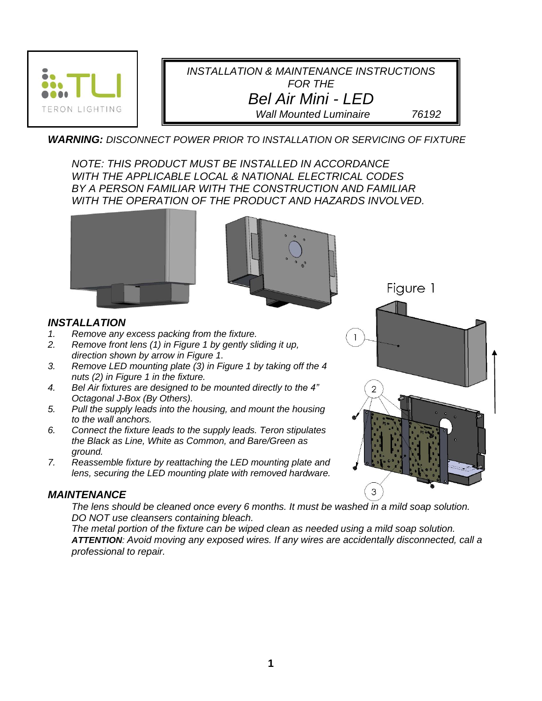

*INSTALLATION & MAINTENANCE INSTRUCTIONS FOR THE Bel Air Mini - LED Wall Mounted Luminaire 76192*

*WARNING: DISCONNECT POWER PRIOR TO INSTALLATION OR SERVICING OF FIXTURE*

*NOTE: THIS PRODUCT MUST BE INSTALLED IN ACCORDANCE WITH THE APPLICABLE LOCAL & NATIONAL ELECTRICAL CODES BY A PERSON FAMILIAR WITH THE CONSTRUCTION AND FAMILIAR WITH THE OPERATION OF THE PRODUCT AND HAZARDS INVOLVED.*





*INSTALLATION*

- *1. Remove any excess packing from the fixture.*
- *2. Remove front lens (1) in Figure 1 by gently sliding it up, direction shown by arrow in Figure 1.*
- *3. Remove LED mounting plate (3) in Figure 1 by taking off the 4 nuts (2) in Figure 1 in the fixture.*
- *4. Bel Air fixtures are designed to be mounted directly to the 4" Octagonal J-Box (By Others).*
- *5. Pull the supply leads into the housing, and mount the housing to the wall anchors.*
- *6. Connect the fixture leads to the supply leads. Teron stipulates the Black as Line, White as Common, and Bare/Green as ground.*
- *7. Reassemble fixture by reattaching the LED mounting plate and lens, securing the LED mounting plate with removed hardware.*

## *MAINTENANCE*

*The lens should be cleaned once every 6 months. It must be washed in a mild soap solution. DO NOT use cleansers containing bleach.* 

*The metal portion of the fixture can be wiped clean as needed using a mild soap solution. ATTENTION: Avoid moving any exposed wires. If any wires are accidentally disconnected, call a professional to repair.*